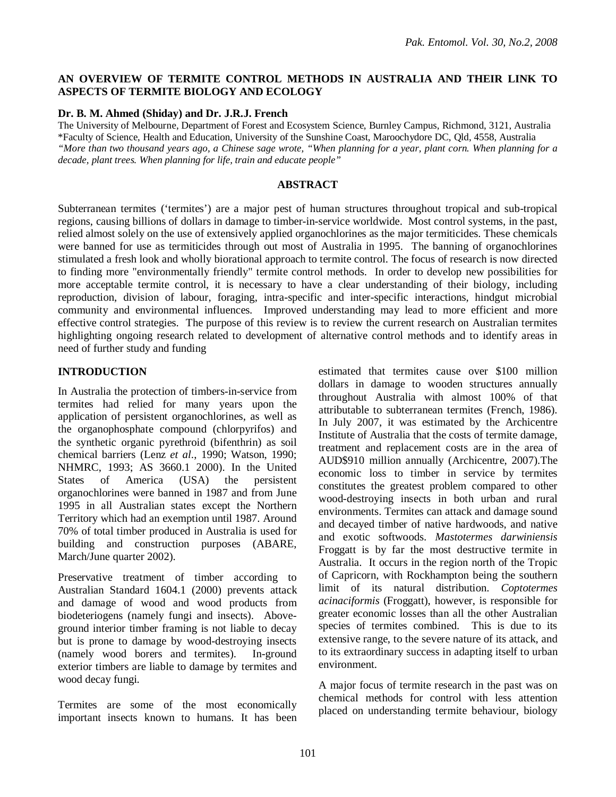## **AN OVERVIEW OF TERMITE CONTROL METHODS IN AUSTRALIA AND THEIR LINK TO ASPECTS OF TERMITE BIOLOGY AND ECOLOGY**

#### **Dr. B. M. Ahmed (Shiday) and Dr. J.R.J. French**

The University of Melbourne, Department of Forest and Ecosystem Science, Burnley Campus, Richmond, 3121, Australia \*Faculty of Science, Health and Education, University of the Sunshine Coast, Maroochydore DC, Qld, 4558, Australia *"More than two thousand years ago, a Chinese sage wrote, "When planning for a year, plant corn. When planning for a decade, plant trees. When planning for life, train and educate people"*

#### **ABSTRACT**

Subterranean termites ('termites') are a major pest of human structures throughout tropical and sub-tropical regions, causing billions of dollars in damage to timber-in-service worldwide. Most control systems, in the past, relied almost solely on the use of extensively applied organochlorines as the major termiticides. These chemicals were banned for use as termiticides through out most of Australia in 1995. The banning of organochlorines stimulated a fresh look and wholly biorational approach to termite control. The focus of research is now directed to finding more "environmentally friendly" termite control methods. In order to develop new possibilities for more acceptable termite control, it is necessary to have a clear understanding of their biology, including reproduction, division of labour, foraging, intra-specific and inter-specific interactions, hindgut microbial community and environmental influences. Improved understanding may lead to more efficient and more effective control strategies. The purpose of this review is to review the current research on Australian termites highlighting ongoing research related to development of alternative control methods and to identify areas in need of further study and funding

#### **INTRODUCTION**

In Australia the protection of timbers-in-service from termites had relied for many years upon the application of persistent organochlorines, as well as the organophosphate compound (chlorpyrifos) and the synthetic organic pyrethroid (bifenthrin) as soil chemical barriers (Lenz *et al*., 1990; Watson, 1990; NHMRC, 1993; AS 3660.1 2000). In the United States of America (USA) the persistent organochlorines were banned in 1987 and from June 1995 in all Australian states except the Northern Territory which had an exemption until 1987. Around 70% of total timber produced in Australia is used for building and construction purposes (ABARE, March/June quarter 2002).

Preservative treatment of timber according to Australian Standard 1604.1 (2000) prevents attack and damage of wood and wood products from biodeteriogens (namely fungi and insects). Aboveground interior timber framing is not liable to decay but is prone to damage by wood-destroying insects (namely wood borers and termites). In-ground exterior timbers are liable to damage by termites and wood decay fungi.

Termites are some of the most economically important insects known to humans. It has been estimated that termites cause over \$100 million dollars in damage to wooden structures annually throughout Australia with almost 100% of that attributable to subterranean termites (French, 1986). In July 2007, it was estimated by the Archicentre Institute of Australia that the costs of termite damage, treatment and replacement costs are in the area of AUD\$910 million annually (Archicentre, 2007).The economic loss to timber in service by termites constitutes the greatest problem compared to other wood-destroying insects in both urban and rural environments. Termites can attack and damage sound and decayed timber of native hardwoods, and native and exotic softwoods. *Mastotermes darwiniensis* Froggatt is by far the most destructive termite in Australia. It occurs in the region north of the Tropic of Capricorn, with Rockhampton being the southern limit of its natural distribution. *Coptotermes acinaciformis* (Froggatt), however, is responsible for greater economic losses than all the other Australian species of termites combined. This is due to its extensive range, to the severe nature of its attack, and to its extraordinary success in adapting itself to urban environment.

A major focus of termite research in the past was on chemical methods for control with less attention placed on understanding termite behaviour, biology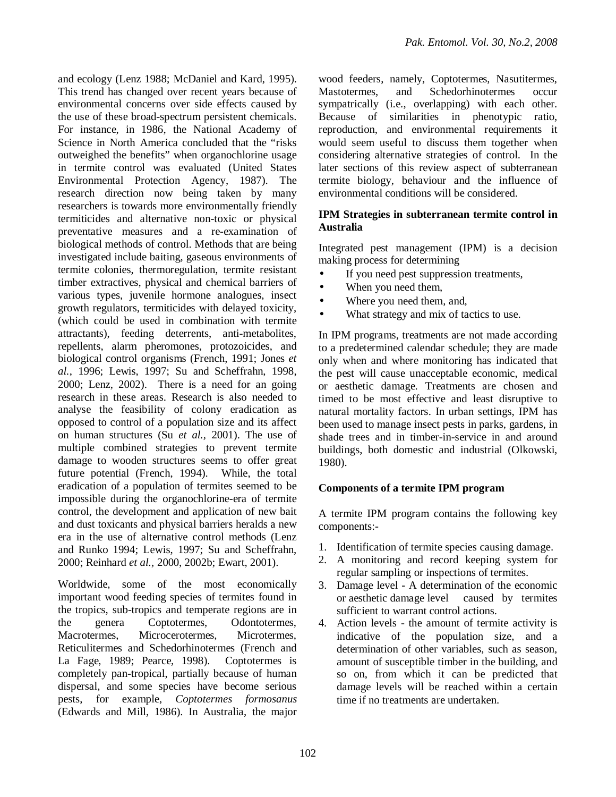and ecology (Lenz 1988; McDaniel and Kard, 1995). This trend has changed over recent years because of environmental concerns over side effects caused by the use of these broad-spectrum persistent chemicals. For instance, in 1986, the National Academy of Science in North America concluded that the "risks outweighed the benefits" when organochlorine usage in termite control was evaluated (United States Environmental Protection Agency, 1987). The research direction now being taken by many researchers is towards more environmentally friendly termiticides and alternative non-toxic or physical preventative measures and a re-examination of biological methods of control. Methods that are being investigated include baiting, gaseous environments of termite colonies, thermoregulation, termite resistant timber extractives, physical and chemical barriers of various types, juvenile hormone analogues, insect growth regulators, termiticides with delayed toxicity, (which could be used in combination with termite attractants), feeding deterrents, anti-metabolites, repellents, alarm pheromones, protozoicides, and biological control organisms (French, 1991; Jones *et al.*, 1996; Lewis, 1997; Su and Scheffrahn, 1998, 2000; Lenz, 2002). There is a need for an going research in these areas. Research is also needed to analyse the feasibility of colony eradication as opposed to control of a population size and its affect on human structures (Su *et al.,* 2001). The use of multiple combined strategies to prevent termite damage to wooden structures seems to offer great future potential (French, 1994). While, the total eradication of a population of termites seemed to be impossible during the organochlorine-era of termite control, the development and application of new bait and dust toxicants and physical barriers heralds a new era in the use of alternative control methods (Lenz and Runko 1994; Lewis, 1997; Su and Scheffrahn, 2000; Reinhard *et al.,* 2000, 2002b; Ewart, 2001).

Worldwide, some of the most economically important wood feeding species of termites found in the tropics, sub-tropics and temperate regions are in the genera Coptotermes, Odontotermes, Macrotermes, Microcerotermes, Microtermes, Reticulitermes and Schedorhinotermes (French and La Fage, 1989; Pearce, 1998). Coptotermes is completely pan-tropical, partially because of human dispersal, and some species have become serious pests, for example, *Coptotermes formosanus* (Edwards and Mill, 1986). In Australia, the major

wood feeders, namely, Coptotermes, Nasutitermes, Mastotermes, and Schedorhinotermes occur sympatrically (i.e., overlapping) with each other. Because of similarities in phenotypic ratio, reproduction, and environmental requirements it would seem useful to discuss them together when considering alternative strategies of control. In the later sections of this review aspect of subterranean termite biology, behaviour and the influence of environmental conditions will be considered.

## **IPM Strategies in subterranean termite control in Australia**

Integrated pest management (IPM) is a decision making process for determining

- If you need pest suppression treatments,
- When you need them,
- Where you need them, and,
- What strategy and mix of tactics to use.

In IPM programs, treatments are not made according to a predetermined calendar schedule; they are made only when and where monitoring has indicated that the pest will cause unacceptable economic, medical or aesthetic damage. Treatments are chosen and timed to be most effective and least disruptive to natural mortality factors. In urban settings, IPM has been used to manage insect pests in parks, gardens, in shade trees and in timber-in-service in and around buildings, both domestic and industrial (Olkowski, 1980).

#### **Components of a termite IPM program**

A termite IPM program contains the following key components:-

- 1. Identification of termite species causing damage.
- 2. A monitoring and record keeping system for regular sampling or inspections of termites.
- 3. Damage level A determination of the economic or aesthetic damage level caused by termites sufficient to warrant control actions.
- 4. Action levels the amount of termite activity is indicative of the population size, and a determination of other variables, such as season, amount of susceptible timber in the building, and so on, from which it can be predicted that damage levels will be reached within a certain time if no treatments are undertaken.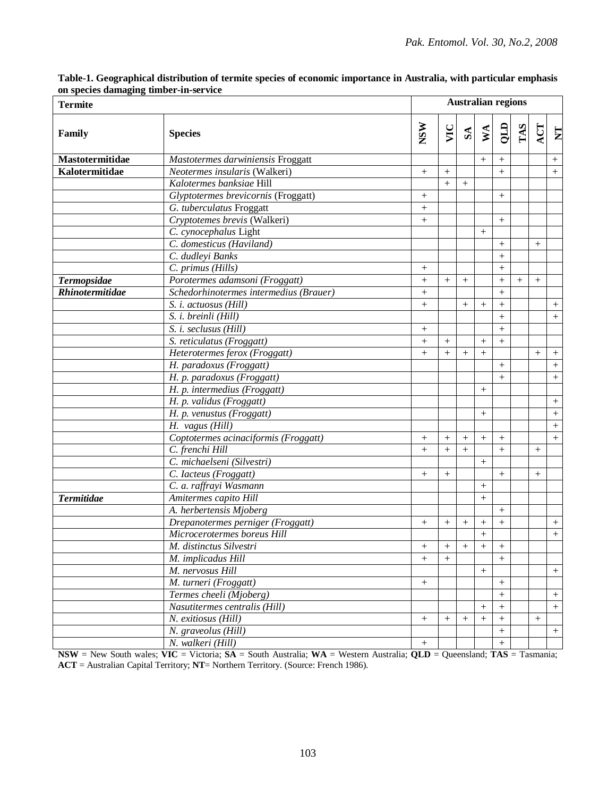| <b>Termite</b>     |                                        |                  | <b>Australian regions</b> |                   |                   |                   |        |        |                         |  |  |
|--------------------|----------------------------------------|------------------|---------------------------|-------------------|-------------------|-------------------|--------|--------|-------------------------|--|--|
| Family             | <b>Species</b>                         | <b>NSW</b>       | VIC                       | ${\bf S} {\bf A}$ |                   | $\frac{KL}{2}$    | TAS    | ACT    | $\overline{\mathbf{z}}$ |  |  |
| Mastotermitidae    | Mastotermes darwiniensis Froggatt      |                  |                           |                   | $^{+}$            | $^{+}$            |        |        | $^{+}$                  |  |  |
| Kalotermitidae     | Neotermes insularis (Walkeri)          | $\boldsymbol{+}$ | $+$                       |                   |                   | $+$               |        |        | $^{+}$                  |  |  |
|                    | Kalotermes banksiae Hill               |                  | $^{+}$                    | $^{+}$            |                   |                   |        |        |                         |  |  |
|                    | Glyptotermes brevicornis (Froggatt)    |                  |                           |                   |                   | $^{+}$            |        |        |                         |  |  |
|                    | G. tuberculatus Froggatt               |                  |                           |                   |                   |                   |        |        |                         |  |  |
|                    | Cryptotemes brevis (Walkeri)           | $^{+}$           |                           |                   |                   | $^{+}$            |        |        |                         |  |  |
|                    | C. cynocephalus Light                  |                  |                           |                   | $+$               |                   |        |        |                         |  |  |
|                    | C. domesticus (Haviland)               |                  |                           |                   |                   | $^{+}$            |        | $^{+}$ |                         |  |  |
|                    | C. dudleyi Banks                       |                  |                           |                   |                   | $+$               |        |        |                         |  |  |
|                    | C. primus (Hills)                      | $^{+}$           |                           |                   |                   | $+$               |        |        |                         |  |  |
| <b>Termopsidae</b> | Porotermes adamsoni (Froggatt)         | $\! +$           | $+$                       | $^{+}$            |                   | $+$               | $^{+}$ | $+$    |                         |  |  |
| Rhinotermitidae    | Schedorhinotermes intermedius (Brauer) | $^{+}$           |                           |                   |                   | $+$               |        |        |                         |  |  |
|                    | S. i. actuosus (Hill)                  | $^{+}$           |                           | $^{+}$            | $^{+}$            | $+$               |        |        | $^{+}$                  |  |  |
|                    | S. i. breinli (Hill)                   |                  |                           |                   |                   | $+$               |        |        | $^{+}$                  |  |  |
|                    | S. i. seclusus (Hill)                  | $^{+}$           |                           |                   |                   | $\boldsymbol{+}$  |        |        |                         |  |  |
|                    | S. reticulatus (Froggatt)              | $\, +$           | $^{+}$                    |                   | $^{+}$            | $^{+}$            |        |        |                         |  |  |
|                    | Heterotermes ferox (Froggatt)          | $\, +$           | $+$                       | $^{+}$            | $^{+}$            |                   |        | $^{+}$ | $^+$                    |  |  |
|                    | H. paradoxus (Froggatt)                |                  |                           |                   |                   | $\boldsymbol{+}$  |        |        | $^{+}$                  |  |  |
|                    | H. p. paradoxus (Froggatt)             |                  |                           |                   |                   | $\boldsymbol{+}$  |        |        | $^{+}$                  |  |  |
|                    | H. p. intermedius (Froggatt)           |                  |                           |                   | $^{+}$            |                   |        |        |                         |  |  |
|                    | H. p. validus (Froggatt)               |                  |                           |                   |                   |                   |        |        | $^{+}$                  |  |  |
|                    | H. p. venustus (Froggatt)              |                  |                           |                   | $^{+}$            |                   |        |        | $+$                     |  |  |
|                    | H. vagus (Hill)                        |                  |                           |                   |                   |                   |        |        | $+$                     |  |  |
|                    | Coptotermes acinaciformis (Froggatt)   | $^+$             | $^{+}$                    | $^{+}$            | $+$               | $\qquad \qquad +$ |        |        | $^{+}$                  |  |  |
|                    | C. frenchi Hill                        | $\, +$           | $+$                       | $^{+}$            |                   | $\boldsymbol{+}$  |        | $^{+}$ |                         |  |  |
|                    | C. michaelseni (Silvestri)             |                  |                           |                   | $^{+}$            |                   |        |        |                         |  |  |
|                    | C. Iacteus (Froggatt)                  | $^{+}$           | $^{+}$                    |                   |                   | $\boldsymbol{+}$  |        | $^{+}$ |                         |  |  |
|                    | C. a. raffrayi Wasmann                 |                  |                           |                   | $^{+}$            |                   |        |        |                         |  |  |
| <b>Termitidae</b>  | Amitermes capito Hill                  |                  |                           |                   | $+$               |                   |        |        |                         |  |  |
|                    | A. herbertensis Mjoberg                |                  |                           |                   |                   | $\boldsymbol{+}$  |        |        |                         |  |  |
|                    | Drepanotermes perniger (Froggatt)      | $^{+}$           | $^{+}$                    | $^{+}$            | $^{+}$            | $\boldsymbol{+}$  |        |        | $^{+}$                  |  |  |
|                    | Microcerotermes boreus Hill            |                  |                           |                   | $\qquad \qquad +$ |                   |        |        | $^{+}$                  |  |  |
|                    | M. distinctus Silvestri                | $^+$             | $^+$                      | $^{+}$            | $^+$              | $^{+}$            |        |        |                         |  |  |
|                    | M. implicadus Hill                     | $\,+\,$          | $^{+}$                    |                   |                   | $\boldsymbol{+}$  |        |        |                         |  |  |
|                    | M. nervosus Hill                       |                  |                           |                   | $^{+}$            |                   |        |        | $^{+}$                  |  |  |
|                    | M. turneri (Froggatt)                  | $\boldsymbol{+}$ |                           |                   |                   | $^+$              |        |        |                         |  |  |
|                    | Termes cheeli (Mjoberg)                |                  |                           |                   |                   | $\boldsymbol{+}$  |        |        | $^{+}$                  |  |  |
|                    | Nasutitermes centralis (Hill)          |                  |                           |                   | $^{+}$            | $+$               |        |        | $+$                     |  |  |
|                    | N. exitiosus (Hill)                    | $\boldsymbol{+}$ | $^{+}$                    | $^{+}$            | $\! + \!\!\!\!$   | $+$               |        | $^{+}$ |                         |  |  |
|                    | N. graveolus (Hill)                    |                  |                           |                   |                   | $+$               |        |        | $^{+}$                  |  |  |
|                    | N. walkeri (Hill)                      | $\boldsymbol{+}$ |                           |                   |                   | $\boldsymbol{+}$  |        |        |                         |  |  |
|                    |                                        |                  |                           |                   |                   |                   |        |        |                         |  |  |

**Table-1. Geographical distribution of termite species of economic importance in Australia, with particular emphasis on species damaging timber-in-service**

**NSW** = New South wales; **VIC** = Victoria; **SA** = South Australia; **WA** = Western Australia; **QLD** = Queensland; **TAS** = Tasmania; **ACT** = Australian Capital Territory; **NT**= Northern Territory. (Source: French 1986).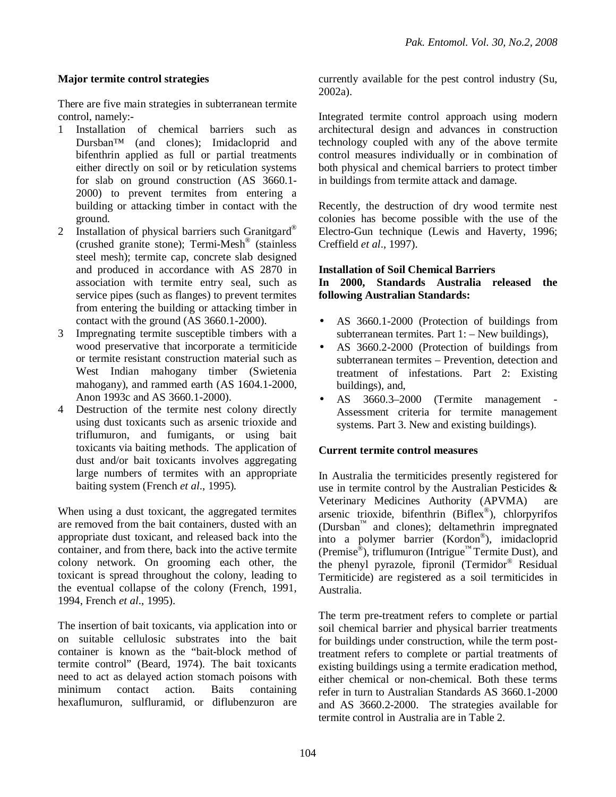## **Major termite control strategies**

There are five main strategies in subterranean termite control, namely:-

- 1 Installation of chemical barriers such as Dursban™ (and clones); Imidacloprid and bifenthrin applied as full or partial treatments either directly on soil or by reticulation systems for slab on ground construction (AS 3660.1- 2000) to prevent termites from entering a building or attacking timber in contact with the ground.
- 2 Installation of physical barriers such Granitgard<sup>®</sup> (crushed granite stone); Termi-Mesh® (stainless steel mesh); termite cap, concrete slab designed and produced in accordance with AS 2870 in association with termite entry seal, such as service pipes (such as flanges) to prevent termites from entering the building or attacking timber in contact with the ground (AS 3660.1-2000).
- 3 Impregnating termite susceptible timbers with a wood preservative that incorporate a termiticide or termite resistant construction material such as West Indian mahogany timber (Swietenia mahogany), and rammed earth (AS 1604.1-2000, Anon 1993c and AS 3660.1-2000).
- 4 Destruction of the termite nest colony directly using dust toxicants such as arsenic trioxide and triflumuron, and fumigants, or using bait toxicants via baiting methods. The application of dust and/or bait toxicants involves aggregating large numbers of termites with an appropriate baiting system (French *et al*., 1995).

When using a dust toxicant, the aggregated termites are removed from the bait containers, dusted with an appropriate dust toxicant, and released back into the container, and from there, back into the active termite colony network. On grooming each other, the toxicant is spread throughout the colony, leading to the eventual collapse of the colony (French, 1991, 1994, French *et al*., 1995).

The insertion of bait toxicants, via application into or on suitable cellulosic substrates into the bait container is known as the "bait-block method of termite control" (Beard, 1974). The bait toxicants need to act as delayed action stomach poisons with minimum contact action. Baits containing hexaflumuron, sulfluramid, or diflubenzuron are

currently available for the pest control industry (Su, 2002a).

Integrated termite control approach using modern architectural design and advances in construction technology coupled with any of the above termite control measures individually or in combination of both physical and chemical barriers to protect timber in buildings from termite attack and damage.

Recently, the destruction of dry wood termite nest colonies has become possible with the use of the Electro-Gun technique (Lewis and Haverty, 1996; Creffield *et al*., 1997).

#### **Installation of Soil Chemical Barriers In 2000, Standards Australia released the following Australian Standards:**

- AS 3660.1-2000 (Protection of buildings from subterranean termites. Part  $1:$  – New buildings),
- AS 3660.2-2000 (Protection of buildings from subterranean termites – Prevention, detection and treatment of infestations. Part 2: Existing buildings), and,
- AS 3660.3–2000 (Termite management Assessment criteria for termite management systems. Part 3. New and existing buildings).

# **Current termite control measures**

In Australia the termiticides presently registered for use in termite control by the Australian Pesticides & Veterinary Medicines Authority (APVMA) are arsenic trioxide, bifenthrin (Biflex® ), chlorpyrifos (Dursban™ and clones); deltamethrin impregnated into a polymer barrier (Kordon® ), imidacloprid (Premise<sup>®</sup>), triflumuron (Intrigue™ Termite Dust), and the phenyl pyrazole, fipronil (Termidor® Residual Termiticide) are registered as a soil termiticides in Australia.

The term pre-treatment refers to complete or partial soil chemical barrier and physical barrier treatments for buildings under construction, while the term posttreatment refers to complete or partial treatments of existing buildings using a termite eradication method, either chemical or non-chemical. Both these terms refer in turn to Australian Standards AS 3660.1-2000 and AS 3660.2-2000. The strategies available for termite control in Australia are in Table 2.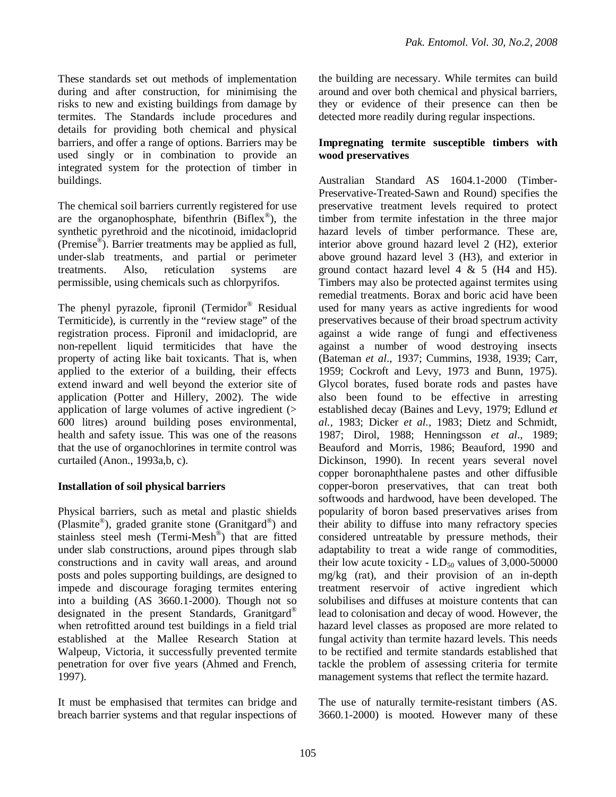These standards set out methods of implementation during and after construction, for minimising the risks to new and existing buildings from damage by termites. The Standards include procedures and details for providing both chemical and physical barriers, and offer a range of options. Barriers may be used singly or in combination to provide an integrated system for the protection of timber in buildings.

The chemical soil barriers currently registered for use are the organophosphate, bifenthrin  $(Biflex^{\circledast})$ , the synthetic pyrethroid and the nicotinoid, imidacloprid (Premise® ). Barrier treatments may be applied as full, under-slab treatments, and partial or perimeter treatments. Also, reticulation systems are permissible, using chemicals such as chlorpyrifos.

The phenyl pyrazole, fipronil (Termidor<sup>®</sup> Residual Termiticide), is currently in the "review stage" of the registration process. Fipronil and imidacloprid, are non-repellent liquid termiticides that have the property of acting like bait toxicants. That is, when applied to the exterior of a building, their effects extend inward and well beyond the exterior site of application (Potter and Hillery, 2002). The wide application of large volumes of active ingredient (> 600 litres) around building poses environmental, health and safety issue. This was one of the reasons that the use of organochlorines in termite control was curtailed (Anon., 1993a,b, c).

#### **Installation of soil physical barriers**

Physical barriers, such as metal and plastic shields (Plasmite®), graded granite stone (Granitgard®) and stainless steel mesh (Termi-Mesh®) that are fitted under slab constructions, around pipes through slab constructions and in cavity wall areas, and around posts and poles supporting buildings, are designed to impede and discourage foraging termites entering into a building (AS 3660.1-2000). Though not so designated in the present Standards, Granitgard® when retrofitted around test buildings in a field trial established at the Mallee Research Station at Walpeup, Victoria, it successfully prevented termite penetration for over five years (Ahmed and French, 1997).

It must be emphasised that termites can bridge and breach barrier systems and that regular inspections of the building are necessary. While termites can build around and over both chemical and physical barriers, they or evidence of their presence can then be detected more readily during regular inspections.

#### **Impregnating termite susceptible timbers with wood preservatives**

Australian Standard AS 1604.1-2000 (Timber-Preservative-Treated-Sawn and Round) specifies the preservative treatment levels required to protect timber from termite infestation in the three major hazard levels of timber performance. These are, interior above ground hazard level 2 (H2), exterior above ground hazard level 3 (H3), and exterior in ground contact hazard level  $4 \& 5$  (H4 and H5). Timbers may also be protected against termites using remedial treatments. Borax and boric acid have been used for many years as active ingredients for wood preservatives because of their broad spectrum activity against a wide range of fungi and effectiveness against a number of wood destroying insects (Bateman *et al*., 1937; Cummins, 1938, 1939; Carr, 1959; Cockroft and Levy, 1973 and Bunn, 1975). Glycol borates, fused borate rods and pastes have also been found to be effective in arresting established decay (Baines and Levy, 1979; Edlund *et al.,* 1983; Dicker *et al.,* 1983; Dietz and Schmidt, 1987; Dirol, 1988; Henningsson *et al*., 1989; Beauford and Morris, 1986; Beauford, 1990 and Dickinson, 1990). In recent years several novel copper boronaphthalene pastes and other diffusible copper-boron preservatives, that can treat both softwoods and hardwood, have been developed. The popularity of boron based preservatives arises from their ability to diffuse into many refractory species considered untreatable by pressure methods, their adaptability to treat a wide range of commodities, their low acute toxicity -  $LD_{50}$  values of 3,000-50000 mg/kg (rat), and their provision of an in-depth treatment reservoir of active ingredient which solubilises and diffuses at moisture contents that can lead to colonisation and decay of wood. However, the hazard level classes as proposed are more related to fungal activity than termite hazard levels. This needs to be rectified and termite standards established that tackle the problem of assessing criteria for termite management systems that reflect the termite hazard.

The use of naturally termite-resistant timbers (AS. 3660.1-2000) is mooted. However many of these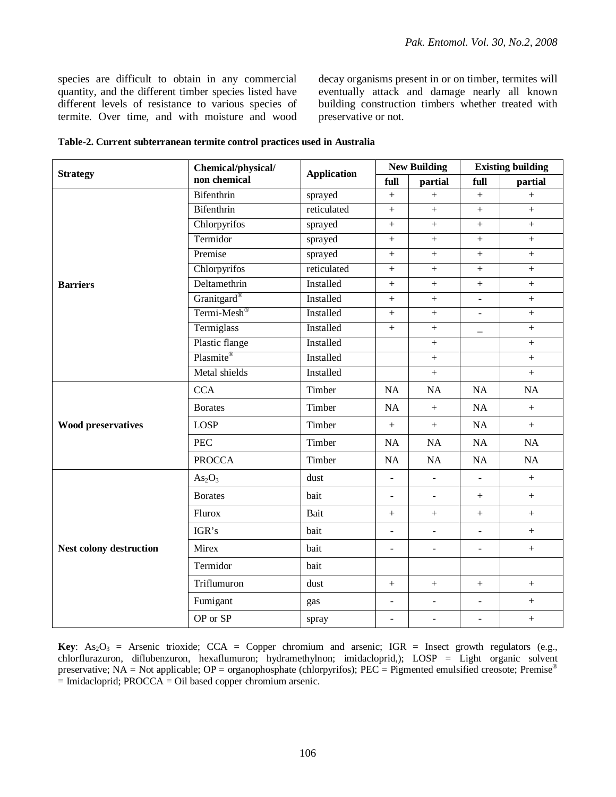species are difficult to obtain in any commercial quantity, and the different timber species listed have different levels of resistance to various species of termite. Over time, and with moisture and wood decay organisms present in or on timber, termites will eventually attack and damage nearly all known building construction timbers whether treated with preservative or not.

| <b>Strategy</b>                | Chemical/physical/<br><b>Application</b><br>non chemical |             | <b>New Building</b>      |                          | <b>Existing building</b> |                  |  |
|--------------------------------|----------------------------------------------------------|-------------|--------------------------|--------------------------|--------------------------|------------------|--|
|                                |                                                          |             | full                     | partial                  | full                     | partial          |  |
|                                | Bifenthrin                                               | sprayed     | $+$                      | $+$                      | $\qquad \qquad +$        | $\ddot{}$        |  |
|                                | Bifenthrin                                               | reticulated | $^{+}$                   | $+$                      | $^{+}$                   | $+$              |  |
|                                | Chlorpyrifos                                             | sprayed     | $^{+}$                   | $+$                      | $+$                      | $+$              |  |
|                                | Termidor                                                 | sprayed     |                          | $+$                      | $\boldsymbol{+}$         | $^{+}$           |  |
|                                | Premise                                                  | sprayed     | $^{+}$                   | $\ddot{}$                | $+$                      | $\ddot{}$        |  |
|                                | Chlorpyrifos                                             | reticulated | $+$                      | $+$                      | $+$                      | $+$              |  |
| <b>Barriers</b>                | Deltamethrin                                             | Installed   | $^{+}$                   | $+$                      | $^{+}$                   | $+$              |  |
|                                | Granitgard®                                              | Installed   |                          | $+$                      | $\bar{\mathcal{L}}$      | $\boldsymbol{+}$ |  |
|                                | Termi-Mesh <sup>®</sup>                                  | Installed   | $^{+}$                   | $+$                      | $\overline{\phantom{a}}$ | $\boldsymbol{+}$ |  |
|                                | Termiglass                                               | Installed   | $\overline{+}$           | $^{+}$                   | $\qquad \qquad -$        | $\ddot{}$        |  |
|                                | Plastic flange                                           | Installed   |                          | $+$                      |                          | $+$              |  |
|                                | Plasmite®                                                | Installed   |                          | $^{+}$                   |                          | $+$              |  |
|                                | Metal shields                                            | Installed   |                          | $\overline{+}$           |                          | $\ddot{}$        |  |
|                                | <b>CCA</b>                                               | Timber      | <b>NA</b>                | NA                       | <b>NA</b>                | <b>NA</b>        |  |
|                                | <b>Borates</b>                                           | Timber      | NA                       | $^{+}$                   | NA                       | $\boldsymbol{+}$ |  |
| <b>Wood preservatives</b>      | <b>LOSP</b>                                              | Timber      | $\qquad \qquad +$        | $^{+}$                   | NA                       | $+$              |  |
|                                | <b>PEC</b>                                               | Timber      | NA                       | NA                       | NA                       | NA               |  |
|                                | <b>PROCCA</b>                                            | Timber      | NA                       | NA                       | NA                       | NA               |  |
|                                | As <sub>2</sub> O <sub>3</sub>                           | dust        | $\overline{a}$           | $\blacksquare$           | $\bar{\phantom{a}}$      | $+$              |  |
|                                | <b>Borates</b>                                           | bait        | $\overline{\phantom{0}}$ | $\overline{\phantom{a}}$ | $^{+}$                   | $+$              |  |
|                                | Flurox                                                   | Bait        | $^{+}$                   | $^{+}$                   | $\boldsymbol{+}$         | $\boldsymbol{+}$ |  |
|                                | IGR's                                                    | bait        | $\overline{\phantom{a}}$ | $\overline{\phantom{0}}$ | $\sim$                   | $\boldsymbol{+}$ |  |
| <b>Nest colony destruction</b> | Mirex                                                    | bait        |                          | $\overline{\phantom{a}}$ | $\overline{a}$           | $\boldsymbol{+}$ |  |
|                                | Termidor                                                 | bait        |                          |                          |                          |                  |  |
|                                | Triflumuron                                              | dust        | $\boldsymbol{+}$         | $+$                      | $^{+}$                   | $^{+}$           |  |
|                                | Fumigant                                                 | gas         | $\frac{1}{2}$            | $\blacksquare$           | $\blacksquare$           | $\boldsymbol{+}$ |  |
|                                | OP or SP                                                 | spray       | $\overline{a}$           | $\blacksquare$           | $\blacksquare$           | $^{+}$           |  |

**Table-2. Current subterranean termite control practices used in Australia**

**Key**:  $As_2O_3$  = Arsenic trioxide; CCA = Copper chromium and arsenic; IGR = Insect growth regulators (e.g., chlorflurazuron, diflubenzuron, hexaflumuron; hydramethylnon; imidacloprid,); LOSP = Light organic solvent preservative; NA = Not applicable; OP = organophosphate (chlorpyrifos); PEC = Pigmented emulsified creosote; Premise®  $=$  Imidacloprid; PROCCA  $=$  Oil based copper chromium arsenic.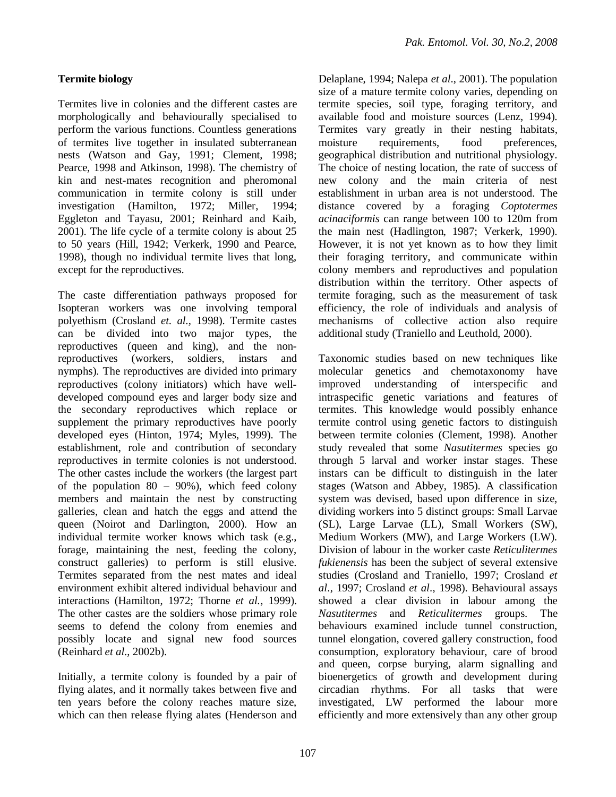## **Termite biology**

Termites live in colonies and the different castes are morphologically and behaviourally specialised to perform the various functions. Countless generations of termites live together in insulated subterranean nests (Watson and Gay, 1991; Clement, 1998; Pearce, 1998 and Atkinson, 1998). The chemistry of kin and nest-mates recognition and pheromonal communication in termite colony is still under investigation (Hamilton, 1972; Miller, 1994; Eggleton and Tayasu, 2001; Reinhard and Kaib, 2001). The life cycle of a termite colony is about 25 to 50 years (Hill, 1942; Verkerk, 1990 and Pearce, 1998), though no individual termite lives that long, except for the reproductives.

The caste differentiation pathways proposed for Isopteran workers was one involving temporal polyethism (Crosland *et. al.,* 1998). Termite castes can be divided into two major types, the reproductives (queen and king), and the nonreproductives (workers, soldiers, instars and nymphs). The reproductives are divided into primary reproductives (colony initiators) which have welldeveloped compound eyes and larger body size and the secondary reproductives which replace or supplement the primary reproductives have poorly developed eyes (Hinton, 1974; Myles, 1999). The establishment, role and contribution of secondary reproductives in termite colonies is not understood. The other castes include the workers (the largest part of the population  $80 - 90\%$ , which feed colony members and maintain the nest by constructing galleries, clean and hatch the eggs and attend the queen (Noirot and Darlington, 2000). How an individual termite worker knows which task (e.g., forage, maintaining the nest, feeding the colony, construct galleries) to perform is still elusive. Termites separated from the nest mates and ideal environment exhibit altered individual behaviour and interactions (Hamilton, 1972; Thorne *et al.,* 1999). The other castes are the soldiers whose primary role seems to defend the colony from enemies and possibly locate and signal new food sources (Reinhard *et al*., 2002b).

Initially, a termite colony is founded by a pair of flying alates, and it normally takes between five and ten years before the colony reaches mature size, which can then release flying alates (Henderson and Delaplane, 1994; Nalepa *et al*., 2001). The population size of a mature termite colony varies, depending on termite species, soil type, foraging territory, and available food and moisture sources (Lenz, 1994). Termites vary greatly in their nesting habitats, moisture requirements, food preferences, geographical distribution and nutritional physiology. The choice of nesting location, the rate of success of new colony and the main criteria of nest establishment in urban area is not understood. The distance covered by a foraging *Coptotermes acinaciformis* can range between 100 to 120m from the main nest (Hadlington, 1987; Verkerk, 1990). However, it is not yet known as to how they limit their foraging territory, and communicate within colony members and reproductives and population distribution within the territory. Other aspects of termite foraging, such as the measurement of task efficiency, the role of individuals and analysis of mechanisms of collective action also require additional study (Traniello and Leuthold, 2000).

Taxonomic studies based on new techniques like molecular genetics and chemotaxonomy have improved understanding of interspecific and intraspecific genetic variations and features of termites. This knowledge would possibly enhance termite control using genetic factors to distinguish between termite colonies (Clement, 1998). Another study revealed that some *Nasutitermes* species go through 5 larval and worker instar stages. These instars can be difficult to distinguish in the later stages (Watson and Abbey, 1985). A classification system was devised, based upon difference in size, dividing workers into 5 distinct groups: Small Larvae (SL), Large Larvae (LL), Small Workers (SW), Medium Workers (MW), and Large Workers (LW). Division of labour in the worker caste *Reticulitermes fukienensis* has been the subject of several extensive studies (Crosland and Traniello, 1997; Crosland *et al*., 1997; Crosland *et al*., 1998). Behavioural assays showed a clear division in labour among the *Nasutitermes* and *Reticulitermes* groups. The behaviours examined include tunnel construction, tunnel elongation, covered gallery construction, food consumption, exploratory behaviour, care of brood and queen, corpse burying, alarm signalling and bioenergetics of growth and development during circadian rhythms. For all tasks that were investigated, LW performed the labour more efficiently and more extensively than any other group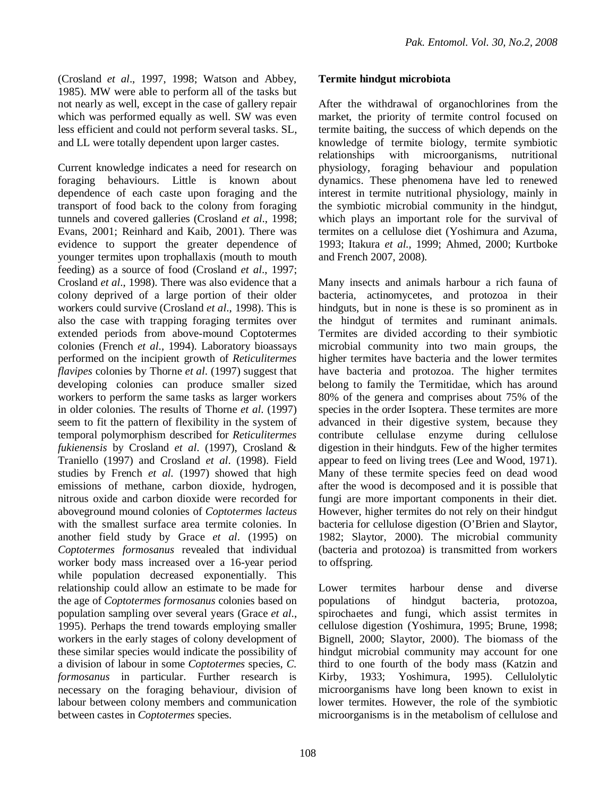(Crosland *et al*., 1997, 1998; Watson and Abbey, 1985). MW were able to perform all of the tasks but not nearly as well, except in the case of gallery repair which was performed equally as well. SW was even less efficient and could not perform several tasks. SL, and LL were totally dependent upon larger castes.

Current knowledge indicates a need for research on foraging behaviours. Little is known about dependence of each caste upon foraging and the transport of food back to the colony from foraging tunnels and covered galleries (Crosland *et al*., 1998; Evans, 2001; Reinhard and Kaib, 2001). There was evidence to support the greater dependence of younger termites upon trophallaxis (mouth to mouth feeding) as a source of food (Crosland *et al*., 1997; Crosland *et al*., 1998). There was also evidence that a colony deprived of a large portion of their older workers could survive (Crosland *et al*., 1998). This is also the case with trapping foraging termites over extended periods from above-mound Coptotermes colonies (French *et al*., 1994). Laboratory bioassays performed on the incipient growth of *Reticulitermes flavipes* colonies by Thorne *et al*. (1997) suggest that developing colonies can produce smaller sized workers to perform the same tasks as larger workers in older colonies. The results of Thorne *et al*. (1997) seem to fit the pattern of flexibility in the system of temporal polymorphism described for *Reticulitermes fukienensis* by Crosland *et al*. (1997), Crosland & Traniello (1997) and Crosland *et al*. (1998). Field studies by French *et al.* (1997) showed that high emissions of methane, carbon dioxide, hydrogen, nitrous oxide and carbon dioxide were recorded for aboveground mound colonies of *Coptotermes lacteus* with the smallest surface area termite colonies. In another field study by Grace *et al*. (1995) on *Coptotermes formosanus* revealed that individual worker body mass increased over a 16-year period while population decreased exponentially. This relationship could allow an estimate to be made for the age of *Coptotermes formosanus* colonies based on population sampling over several years (Grace *et al*., 1995). Perhaps the trend towards employing smaller workers in the early stages of colony development of these similar species would indicate the possibility of a division of labour in some *Coptotermes* species, *C. formosanus* in particular. Further research is necessary on the foraging behaviour, division of labour between colony members and communication between castes in *Coptotermes* species.

## **Termite hindgut microbiota**

After the withdrawal of organochlorines from the market, the priority of termite control focused on termite baiting, the success of which depends on the knowledge of termite biology, termite symbiotic relationships with microorganisms, nutritional physiology, foraging behaviour and population dynamics. These phenomena have led to renewed interest in termite nutritional physiology, mainly in the symbiotic microbial community in the hindgut, which plays an important role for the survival of termites on a cellulose diet (Yoshimura and Azuma, 1993; Itakura *et al.,* 1999; Ahmed, 2000; Kurtboke and French 2007, 2008).

Many insects and animals harbour a rich fauna of bacteria, actinomycetes, and protozoa in their hindguts, but in none is these is so prominent as in the hindgut of termites and ruminant animals. Termites are divided according to their symbiotic microbial community into two main groups, the higher termites have bacteria and the lower termites have bacteria and protozoa. The higher termites belong to family the Termitidae, which has around 80% of the genera and comprises about 75% of the species in the order Isoptera. These termites are more advanced in their digestive system, because they contribute cellulase enzyme during cellulose digestion in their hindguts. Few of the higher termites appear to feed on living trees (Lee and Wood, 1971). Many of these termite species feed on dead wood after the wood is decomposed and it is possible that fungi are more important components in their diet. However, higher termites do not rely on their hindgut bacteria for cellulose digestion (O'Brien and Slaytor, 1982; Slaytor, 2000). The microbial community (bacteria and protozoa) is transmitted from workers to offspring.

Lower termites harbour dense and diverse populations of hindgut bacteria, protozoa, spirochaetes and fungi, which assist termites in cellulose digestion (Yoshimura, 1995; Brune, 1998; Bignell, 2000; Slaytor, 2000). The biomass of the hindgut microbial community may account for one third to one fourth of the body mass (Katzin and Kirby, 1933; Yoshimura, 1995). Cellulolytic microorganisms have long been known to exist in lower termites. However, the role of the symbiotic microorganisms is in the metabolism of cellulose and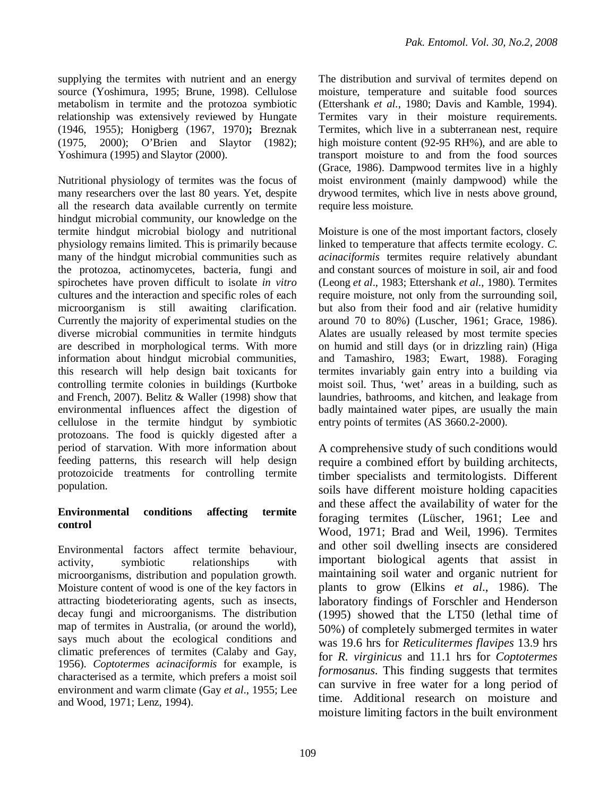supplying the termites with nutrient and an energy source (Yoshimura, 1995; Brune, 1998). Cellulose metabolism in termite and the protozoa symbiotic relationship was extensively reviewed by Hungate (1946, 1955); Honigberg (1967, 1970)**;** Breznak (1975, 2000); O'Brien and Slaytor (1982); Yoshimura (1995) and Slaytor (2000).

Nutritional physiology of termites was the focus of many researchers over the last 80 years. Yet, despite all the research data available currently on termite hindgut microbial community, our knowledge on the termite hindgut microbial biology and nutritional physiology remains limited. This is primarily because many of the hindgut microbial communities such as the protozoa, actinomycetes, bacteria, fungi and spirochetes have proven difficult to isolate *in vitro* cultures and the interaction and specific roles of each microorganism is still awaiting clarification. Currently the majority of experimental studies on the diverse microbial communities in termite hindguts are described in morphological terms. With more information about hindgut microbial communities, this research will help design bait toxicants for controlling termite colonies in buildings (Kurtboke and French, 2007). Belitz & Waller (1998) show that environmental influences affect the digestion of cellulose in the termite hindgut by symbiotic protozoans. The food is quickly digested after a period of starvation. With more information about feeding patterns, this research will help design protozoicide treatments for controlling termite population.

# **Environmental conditions affecting termite control**

Environmental factors affect termite behaviour, activity, symbiotic relationships with microorganisms, distribution and population growth. Moisture content of wood is one of the key factors in attracting biodeteriorating agents, such as insects, decay fungi and microorganisms. The distribution map of termites in Australia, (or around the world), says much about the ecological conditions and climatic preferences of termites (Calaby and Gay, 1956). *Coptotermes acinaciformis* for example, is characterised as a termite, which prefers a moist soil environment and warm climate (Gay *et al*., 1955; Lee and Wood, 1971; Lenz, 1994).

The distribution and survival of termites depend on moisture, temperature and suitable food sources (Ettershank *et al.*, 1980; Davis and Kamble, 1994). Termites vary in their moisture requirements. Termites, which live in a subterranean nest, require high moisture content (92-95 RH%), and are able to transport moisture to and from the food sources (Grace, 1986). Dampwood termites live in a highly moist environment (mainly dampwood) while the drywood termites, which live in nests above ground, require less moisture.

Moisture is one of the most important factors, closely linked to temperature that affects termite ecology. *C. acinaciformis* termites require relatively abundant and constant sources of moisture in soil, air and food (Leong *et al*., 1983; Ettershank *et al.*, 1980). Termites require moisture, not only from the surrounding soil, but also from their food and air (relative humidity around 70 to 80%) (Luscher, 1961; Grace, 1986). Alates are usually released by most termite species on humid and still days (or in drizzling rain) (Higa and Tamashiro, 1983; Ewart, 1988). Foraging termites invariably gain entry into a building via moist soil. Thus, 'wet' areas in a building, such as laundries, bathrooms, and kitchen, and leakage from badly maintained water pipes, are usually the main entry points of termites (AS 3660.2-2000).

A comprehensive study of such conditions would require a combined effort by building architects, timber specialists and termitologists. Different soils have different moisture holding capacities and these affect the availability of water for the foraging termites (Lüscher, 1961; Lee and Wood, 1971; Brad and Weil, 1996). Termites and other soil dwelling insects are considered important biological agents that assist in maintaining soil water and organic nutrient for plants to grow (Elkins *et al*., 1986). The laboratory findings of Forschler and Henderson (1995) showed that the LT50 (lethal time of 50%) of completely submerged termites in water was 19.6 hrs for *Reticulitermes flavipes* 13.9 hrs for *R. virginicus* and 11.1 hrs for *Coptotermes formosanus*. This finding suggests that termites can survive in free water for a long period of time. Additional research on moisture and moisture limiting factors in the built environment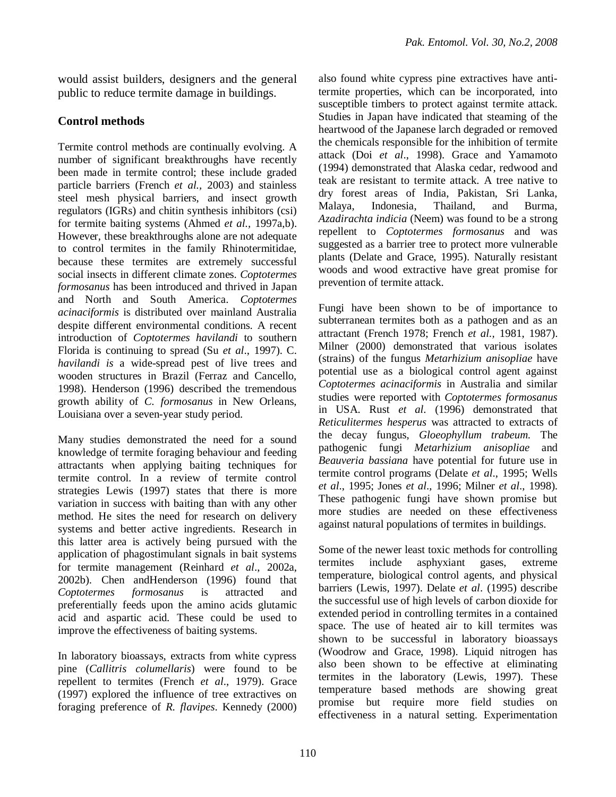would assist builders, designers and the general public to reduce termite damage in buildings.

# **Control methods**

Termite control methods are continually evolving. A number of significant breakthroughs have recently been made in termite control; these include graded particle barriers (French *et al.,* 2003) and stainless steel mesh physical barriers, and insect growth regulators (IGRs) and chitin synthesis inhibitors (csi) for termite baiting systems (Ahmed *et al.,* 1997a,b). However, these breakthroughs alone are not adequate to control termites in the family Rhinotermitidae, because these termites are extremely successful social insects in different climate zones. *Coptotermes formosanus* has been introduced and thrived in Japan and North and South America. *Coptotermes acinaciformis* is distributed over mainland Australia despite different environmental conditions. A recent introduction of *Coptotermes havilandi* to southern Florida is continuing to spread (Su *et al*., 1997). C. *havilandi is* a wide-spread pest of live trees and wooden structures in Brazil (Ferraz and Cancello, 1998). Henderson (1996) described the tremendous growth ability of *C. formosanus* in New Orleans, Louisiana over a seven-year study period.

Many studies demonstrated the need for a sound knowledge of termite foraging behaviour and feeding attractants when applying baiting techniques for termite control. In a review of termite control strategies Lewis (1997) states that there is more variation in success with baiting than with any other method. He sites the need for research on delivery systems and better active ingredients. Research in this latter area is actively being pursued with the application of phagostimulant signals in bait systems for termite management (Reinhard *et al*., 2002a, 2002b). Chen andHenderson (1996) found that *Coptotermes formosanus* is attracted and preferentially feeds upon the amino acids glutamic acid and aspartic acid. These could be used to improve the effectiveness of baiting systems.

In laboratory bioassays, extracts from white cypress pine (*Callitris columellaris*) were found to be repellent to termites (French *et al*., 1979). Grace (1997) explored the influence of tree extractives on foraging preference of *R. flavipes*. Kennedy (2000) also found white cypress pine extractives have antitermite properties, which can be incorporated, into susceptible timbers to protect against termite attack. Studies in Japan have indicated that steaming of the heartwood of the Japanese larch degraded or removed the chemicals responsible for the inhibition of termite attack (Doi *et al*., 1998). Grace and Yamamoto (1994) demonstrated that Alaska cedar, redwood and teak are resistant to termite attack. A tree native to dry forest areas of India, Pakistan, Sri Lanka, Malaya, Indonesia, Thailand, and Burma, *Azadirachta indicia* (Neem) was found to be a strong repellent to *Coptotermes formosanus* and was suggested as a barrier tree to protect more vulnerable plants (Delate and Grace, 1995). Naturally resistant woods and wood extractive have great promise for prevention of termite attack.

Fungi have been shown to be of importance to subterranean termites both as a pathogen and as an attractant (French 1978; French *et al.,* 1981, 1987). Milner (2000) demonstrated that various isolates (strains) of the fungus *Metarhizium anisopliae* have potential use as a biological control agent against *Coptotermes acinaciformis* in Australia and similar studies were reported with *Coptotermes formosanus* in USA. Rust *et al*. (1996) demonstrated that *Reticulitermes hesperus* was attracted to extracts of the decay fungus, *Gloeophyllum trabeum.* The pathogenic fungi *Metarhizium anisopliae* and *Beauveria bassiana* have potential for future use in termite control programs (Delate *et al*., 1995; Wells *et al*., 1995; Jones *et al*., 1996; Milner *et al*., 1998). These pathogenic fungi have shown promise but more studies are needed on these effectiveness against natural populations of termites in buildings.

Some of the newer least toxic methods for controlling termites include asphyxiant gases, extreme temperature, biological control agents, and physical barriers (Lewis, 1997). Delate *et al*. (1995) describe the successful use of high levels of carbon dioxide for extended period in controlling termites in a contained space. The use of heated air to kill termites was shown to be successful in laboratory bioassays (Woodrow and Grace, 1998). Liquid nitrogen has also been shown to be effective at eliminating termites in the laboratory (Lewis, 1997). These temperature based methods are showing great promise but require more field studies on effectiveness in a natural setting. Experimentation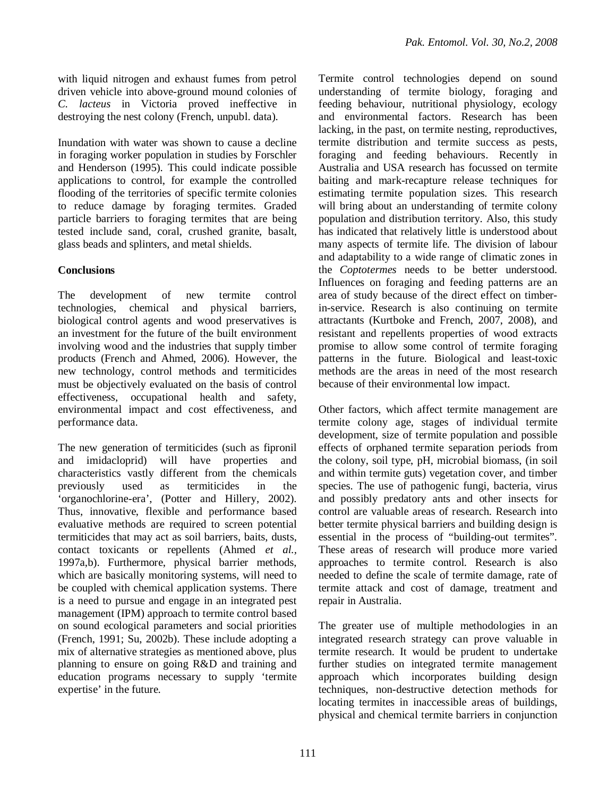with liquid nitrogen and exhaust fumes from petrol driven vehicle into above-ground mound colonies of *C. lacteus* in Victoria proved ineffective in destroying the nest colony (French, unpubl. data).

Inundation with water was shown to cause a decline in foraging worker population in studies by Forschler and Henderson (1995). This could indicate possible applications to control, for example the controlled flooding of the territories of specific termite colonies to reduce damage by foraging termites. Graded particle barriers to foraging termites that are being tested include sand, coral, crushed granite, basalt, glass beads and splinters, and metal shields.

# **Conclusions**

The development of new termite control technologies, chemical and physical barriers, biological control agents and wood preservatives is an investment for the future of the built environment involving wood and the industries that supply timber products (French and Ahmed, 2006). However, the new technology, control methods and termiticides must be objectively evaluated on the basis of control effectiveness, occupational health and safety, environmental impact and cost effectiveness, and performance data.

The new generation of termiticides (such as fipronil and imidacloprid) will have properties and characteristics vastly different from the chemicals previously used as termiticides in the 'organochlorine-era', (Potter and Hillery, 2002). Thus, innovative, flexible and performance based evaluative methods are required to screen potential termiticides that may act as soil barriers, baits, dusts, contact toxicants or repellents (Ahmed *et al.,* 1997a,b). Furthermore, physical barrier methods, which are basically monitoring systems, will need to be coupled with chemical application systems. There is a need to pursue and engage in an integrated pest management (IPM) approach to termite control based on sound ecological parameters and social priorities (French, 1991; Su, 2002b). These include adopting a mix of alternative strategies as mentioned above, plus planning to ensure on going R&D and training and education programs necessary to supply 'termite expertise' in the future.

Termite control technologies depend on sound understanding of termite biology, foraging and feeding behaviour, nutritional physiology, ecology and environmental factors. Research has been lacking, in the past, on termite nesting, reproductives, termite distribution and termite success as pests, foraging and feeding behaviours. Recently in Australia and USA research has focussed on termite baiting and mark-recapture release techniques for estimating termite population sizes. This research will bring about an understanding of termite colony population and distribution territory. Also, this study has indicated that relatively little is understood about many aspects of termite life. The division of labour and adaptability to a wide range of climatic zones in the *Coptotermes* needs to be better understood. Influences on foraging and feeding patterns are an area of study because of the direct effect on timberin-service. Research is also continuing on termite attractants (Kurtboke and French, 2007, 2008), and resistant and repellents properties of wood extracts promise to allow some control of termite foraging patterns in the future. Biological and least-toxic methods are the areas in need of the most research because of their environmental low impact.

Other factors, which affect termite management are termite colony age, stages of individual termite development, size of termite population and possible effects of orphaned termite separation periods from the colony, soil type, pH, microbial biomass, (in soil and within termite guts) vegetation cover, and timber species. The use of pathogenic fungi, bacteria, virus and possibly predatory ants and other insects for control are valuable areas of research. Research into better termite physical barriers and building design is essential in the process of "building-out termites". These areas of research will produce more varied approaches to termite control. Research is also needed to define the scale of termite damage, rate of termite attack and cost of damage, treatment and repair in Australia.

The greater use of multiple methodologies in an integrated research strategy can prove valuable in termite research. It would be prudent to undertake further studies on integrated termite management approach which incorporates building design techniques, non-destructive detection methods for locating termites in inaccessible areas of buildings, physical and chemical termite barriers in conjunction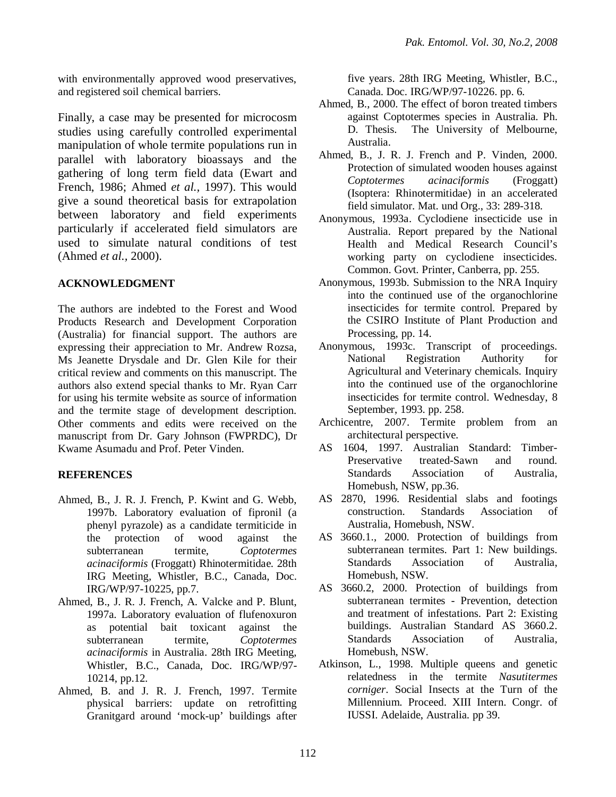with environmentally approved wood preservatives, and registered soil chemical barriers.

Finally, a case may be presented for microcosm studies using carefully controlled experimental manipulation of whole termite populations run in parallel with laboratory bioassays and the gathering of long term field data (Ewart and French, 1986; Ahmed *et al.,* 1997). This would give a sound theoretical basis for extrapolation between laboratory and field experiments particularly if accelerated field simulators are used to simulate natural conditions of test (Ahmed *et al.,* 2000).

# **ACKNOWLEDGMENT**

The authors are indebted to the Forest and Wood Products Research and Development Corporation (Australia) for financial support. The authors are expressing their appreciation to Mr. Andrew Rozsa, Ms Jeanette Drysdale and Dr. Glen Kile for their critical review and comments on this manuscript. The authors also extend special thanks to Mr. Ryan Carr for using his termite website as source of information and the termite stage of development description. Other comments and edits were received on the manuscript from Dr. Gary Johnson (FWPRDC), Dr Kwame Asumadu and Prof. Peter Vinden.

# **REFERENCES**

- Ahmed, B., J. R. J. French, P. Kwint and G. Webb, 1997b. Laboratory evaluation of fipronil (a phenyl pyrazole) as a candidate termiticide in the protection of wood against the subterranean termite, *Coptotermes acinaciformis* (Froggatt) Rhinotermitidae. 28th IRG Meeting, Whistler, B.C., Canada, Doc. IRG/WP/97-10225, pp.7.
- Ahmed, B., J. R. J. French, A. Valcke and P. Blunt, 1997a. Laboratory evaluation of flufenoxuron as potential bait toxicant against the subterranean termite, *Coptotermes acinaciformis* in Australia. 28th IRG Meeting, Whistler, B.C., Canada, Doc. IRG/WP/97- 10214, pp.12.
- Ahmed, B. and J. R. J. French, 1997. Termite physical barriers: update on retrofitting Granitgard around 'mock-up' buildings after

five years. 28th IRG Meeting, Whistler, B.C., Canada. Doc. IRG/WP/97-10226. pp. 6.

- Ahmed, B., 2000. The effect of boron treated timbers against Coptotermes species in Australia. Ph. D. Thesis. The University of Melbourne, Australia.
- Ahmed, B., J. R. J. French and P. Vinden, 2000. Protection of simulated wooden houses against *Coptotermes acinaciformis* (Froggatt) (Isoptera: Rhinotermitidae) in an accelerated field simulator. Mat. und Org., 33: 289-318.
- Anonymous, 1993a. Cyclodiene insecticide use in Australia. Report prepared by the National Health and Medical Research Council's working party on cyclodiene insecticides. Common. Govt. Printer, Canberra, pp. 255.
- Anonymous, 1993b. Submission to the NRA Inquiry into the continued use of the organochlorine insecticides for termite control. Prepared by the CSIRO Institute of Plant Production and Processing, pp. 14.
- Anonymous, 1993c. Transcript of proceedings. National Registration Authority for Agricultural and Veterinary chemicals. Inquiry into the continued use of the organochlorine insecticides for termite control. Wednesday, 8 September, 1993. pp. 258.
- Archicentre, 2007. Termite problem from an architectural perspective.
- AS 1604, 1997. Australian Standard: Timber-Preservative treated-Sawn and round. Standards Association of Australia, Homebush, NSW, pp.36.
- AS 2870, 1996. Residential slabs and footings construction. Standards Association of Australia, Homebush, NSW.
- AS 3660.1., 2000. Protection of buildings from subterranean termites. Part 1: New buildings. Standards Association of Australia, Homebush, NSW.
- AS 3660.2, 2000. Protection of buildings from subterranean termites - Prevention, detection and treatment of infestations. Part 2: Existing buildings. Australian Standard AS 3660.2. Standards Association of Australia, Homebush, NSW.
- Atkinson, L., 1998. Multiple queens and genetic relatedness in the termite *Nasutitermes corniger*. Social Insects at the Turn of the Millennium. Proceed. XIII Intern. Congr. of IUSSI. Adelaide, Australia. pp 39.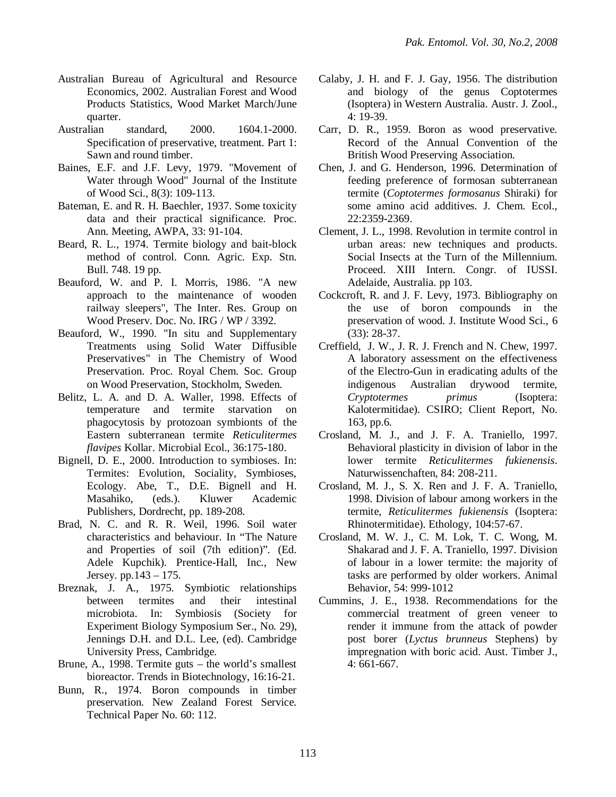- Australian Bureau of Agricultural and Resource Economics, 2002. Australian Forest and Wood Products Statistics, Wood Market March/June quarter.
- Australian standard, 2000. 1604.1-2000. Specification of preservative, treatment. Part 1: Sawn and round timber.
- Baines, E.F. and J.F. Levy, 1979. "Movement of Water through Wood" Journal of the Institute of Wood Sci., 8(3): 109-113.
- Bateman, E. and R. H. Baechler, 1937. Some toxicity data and their practical significance. Proc. Ann. Meeting, AWPA, 33: 91-104.
- Beard, R. L., 1974. Termite biology and bait-block method of control. Conn. Agric. Exp. Stn. Bull. 748. 19 pp.
- Beauford, W. and P. I. Morris, 1986. "A new approach to the maintenance of wooden railway sleepers", The Inter. Res. Group on Wood Preserv. Doc. No. IRG / WP / 3392.
- Beauford, W., 1990. "In situ and Supplementary Treatments using Solid Water Diffusible Preservatives" in The Chemistry of Wood Preservation. Proc. Royal Chem. Soc. Group on Wood Preservation, Stockholm, Sweden.
- Belitz, L. A. and D. A. Waller, 1998. Effects of temperature and termite starvation on phagocytosis by protozoan symbionts of the Eastern subterranean termite *Reticulitermes flavipes* Kollar. Microbial Ecol., 36:175-180.
- Bignell, D. E., 2000. Introduction to symbioses. In: Termites: Evolution, Sociality, Symbioses, Ecology. Abe, T., D.E. Bignell and H. Masahiko, (eds.). Kluwer Academic Publishers, Dordrecht, pp. 189-208.
- Brad, N. C. and R. R. Weil, 1996. Soil water characteristics and behaviour. In "The Nature and Properties of soil (7th edition)". (Ed. Adele Kupchik). Prentice-Hall, Inc., New Jersey. pp.143 – 175.
- Breznak, J. A., 1975. Symbiotic relationships between termites and their intestinal microbiota. In: Symbiosis (Society for Experiment Biology Symposium Ser., No. 29), Jennings D.H. and D.L. Lee, (ed). Cambridge University Press, Cambridge.
- Brune, A., 1998. Termite guts the world's smallest bioreactor. Trends in Biotechnology, 16:16-21.
- Bunn, R., 1974. Boron compounds in timber preservation. New Zealand Forest Service. Technical Paper No. 60: 112.
- Calaby, J. H. and F. J. Gay, 1956. The distribution and biology of the genus Coptotermes (Isoptera) in Western Australia. Austr. J. Zool., 4: 19-39.
- Carr, D. R., 1959. Boron as wood preservative. Record of the Annual Convention of the British Wood Preserving Association.
- Chen, J. and G. Henderson, 1996. Determination of feeding preference of formosan subterranean termite (*Coptotermes formosanus* Shiraki) for some amino acid additives. J. Chem. Ecol., 22:2359-2369.
- Clement, J. L., 1998. Revolution in termite control in urban areas: new techniques and products. Social Insects at the Turn of the Millennium. Proceed. XIII Intern. Congr. of IUSSI. Adelaide, Australia. pp 103.
- Cockcroft, R. and J. F. Levy, 1973. Bibliography on the use of boron compounds in the preservation of wood. J. Institute Wood Sci., 6 (33): 28-37.
- Creffield, J. W., J. R. J. French and N. Chew, 1997. A laboratory assessment on the effectiveness of the Electro-Gun in eradicating adults of the indigenous Australian drywood termite, *Cryptotermes primus* (Isoptera: Kalotermitidae). CSIRO; Client Report, No. 163, pp.6.
- Crosland, M. J., and J. F. A. Traniello, 1997. Behavioral plasticity in division of labor in the lower termite *Reticulitermes fukienensis*. Naturwissenchaften, 84: 208-211.
- Crosland, M. J., S. X. Ren and J. F. A. Traniello, 1998. Division of labour among workers in the termite, *Reticulitermes fukienensis* (Isoptera: Rhinotermitidae). Ethology, 104:57-67.
- Crosland, M. W. J., C. M. Lok, T. C. Wong, M. Shakarad and J. F. A. Traniello, 1997. Division of labour in a lower termite: the majority of tasks are performed by older workers. Animal Behavior, 54: 999-1012
- Cummins, J. E., 1938. Recommendations for the commercial treatment of green veneer to render it immune from the attack of powder post borer (*Lyctus brunneus* Stephens) by impregnation with boric acid. Aust. Timber J., 4: 661-667.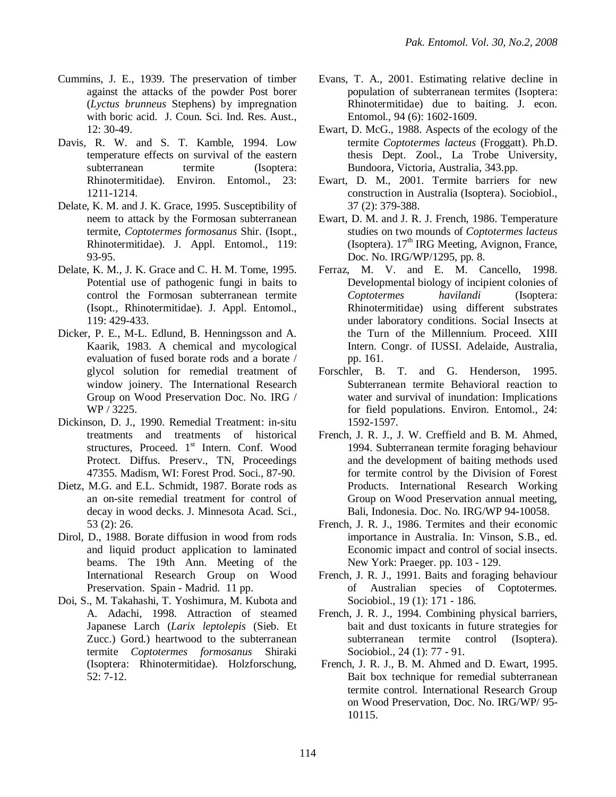- Cummins, J. E., 1939. The preservation of timber against the attacks of the powder Post borer (*Lyctus brunneus* Stephens) by impregnation with boric acid. J. Coun. Sci. Ind. Res. Aust., 12: 30-49.
- Davis, R. W. and S. T. Kamble, 1994. Low temperature effects on survival of the eastern subterranean termite (Isoptera: Rhinotermitidae). Environ. Entomol., 23: 1211-1214.
- Delate, K. M. and J. K. Grace, 1995. Susceptibility of neem to attack by the Formosan subterranean termite, *Coptotermes formosanus* Shir. (Isopt., Rhinotermitidae). J. Appl. Entomol., 119: 93-95.
- Delate, K. M., J. K. Grace and C. H. M. Tome, 1995. Potential use of pathogenic fungi in baits to control the Formosan subterranean termite (Isopt., Rhinotermitidae). J. Appl. Entomol., 119: 429-433.
- Dicker, P. E., M-L. Edlund, B. Henningsson and A. Kaarik, 1983. A chemical and mycological evaluation of fused borate rods and a borate / glycol solution for remedial treatment of window joinery. The International Research Group on Wood Preservation Doc. No. IRG / WP / 3225.
- Dickinson, D. J., 1990. Remedial Treatment: in-situ treatments and treatments of historical structures, Proceed. 1st Intern. Conf. Wood Protect. Diffus. Preserv., TN, Proceedings 47355. Madism, WI: Forest Prod. Soci., 87-90.
- Dietz, M.G. and E.L. Schmidt, 1987. Borate rods as an on-site remedial treatment for control of decay in wood decks. J. Minnesota Acad. Sci., 53 (2): 26.
- Dirol, D., 1988. Borate diffusion in wood from rods and liquid product application to laminated beams. The 19th Ann. Meeting of the International Research Group on Wood Preservation. Spain - Madrid. 11 pp.
- Doi, S., M. Takahashi, T. Yoshimura, M. Kubota and A. Adachi, 1998. Attraction of steamed Japanese Larch (*Larix leptolepis* (Sieb. Et Zucc.) Gord.) heartwood to the subterranean termite *Coptotermes formosanus* Shiraki (Isoptera: Rhinotermitidae). Holzforschung, 52: 7-12.
- Evans, T. A., 2001. Estimating relative decline in population of subterranean termites (Isoptera: Rhinotermitidae) due to baiting. J. econ. Entomol., 94 (6): 1602-1609.
- Ewart, D. McG., 1988. Aspects of the ecology of the termite *Coptotermes lacteus* (Froggatt). Ph.D. thesis Dept. Zool., La Trobe University, Bundoora, Victoria, Australia, 343.pp.
- Ewart, D. M., 2001. Termite barriers for new construction in Australia (Isoptera). Sociobiol., 37 (2): 379-388.
- Ewart, D. M. and J. R. J. French, 1986. Temperature studies on two mounds of *Coptotermes lacteus* (Isoptera).  $17<sup>th</sup>$  IRG Meeting, Avignon, France. Doc. No. IRG/WP/1295, pp. 8.
- Ferraz, M. V. and E. M. Cancello, 1998. Developmental biology of incipient colonies of *Coptotermes havilandi* (Isoptera: Rhinotermitidae) using different substrates under laboratory conditions. Social Insects at the Turn of the Millennium. Proceed. XIII Intern. Congr. of IUSSI. Adelaide, Australia, pp. 161.
- Forschler, B. T. and G. Henderson, 1995. Subterranean termite Behavioral reaction to water and survival of inundation: Implications for field populations. Environ. Entomol., 24: 1592-1597.
- French, J. R. J., J. W. Creffield and B. M. Ahmed, 1994. Subterranean termite foraging behaviour and the development of baiting methods used for termite control by the Division of Forest Products. International Research Working Group on Wood Preservation annual meeting, Bali, Indonesia. Doc. No. IRG/WP 94-10058.
- French, J. R. J., 1986. Termites and their economic importance in Australia. In: Vinson, S.B., ed. Economic impact and control of social insects. New York: Praeger. pp. 103 - 129.
- French, J. R. J., 1991. Baits and foraging behaviour of Australian species of Coptotermes. Sociobiol., 19 (1): 171 - 186.
- French, J. R. J., 1994. Combining physical barriers, bait and dust toxicants in future strategies for subterranean termite control (Isoptera). Sociobiol., 24 (1): 77 - 91.
- French, J. R. J., B. M. Ahmed and D. Ewart, 1995. Bait box technique for remedial subterranean termite control. International Research Group on Wood Preservation, Doc. No. IRG/WP/ 95- 10115.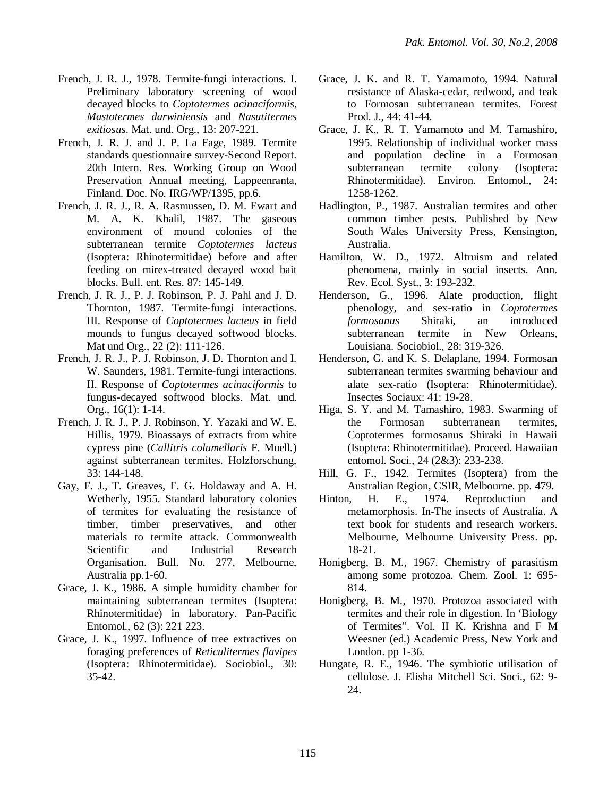- French, J. R. J., 1978. Termite-fungi interactions. I. Preliminary laboratory screening of wood decayed blocks to *Coptotermes acinaciformis, Mastotermes darwiniensis* and *Nasutitermes exitiosus*. Mat. und. Org., 13: 207-221.
- French, J. R. J. and J. P. La Fage, 1989. Termite standards questionnaire survey-Second Report. 20th Intern. Res. Working Group on Wood Preservation Annual meeting, Lappeenranta, Finland. Doc. No. IRG/WP/1395, pp.6.
- French, J. R. J., R. A. Rasmussen, D. M. Ewart and M. A. K. Khalil, 1987. The gaseous environment of mound colonies of the subterranean termite *Coptotermes lacteus* (Isoptera: Rhinotermitidae) before and after feeding on mirex-treated decayed wood bait blocks. Bull. ent. Res. 87: 145-149.
- French, J. R. J., P. J. Robinson, P. J. Pahl and J. D. Thornton, 1987. Termite-fungi interactions. III. Response of *Coptotermes lacteus* in field mounds to fungus decayed softwood blocks. Mat und Org., 22 (2): 111-126.
- French, J. R. J., P. J. Robinson, J. D. Thornton and I. W. Saunders, 1981. Termite-fungi interactions. II. Response of *Coptotermes acinaciformis* to fungus-decayed softwood blocks. Mat. und. Org., 16(1): 1-14.
- French, J. R. J., P. J. Robinson, Y. Yazaki and W. E. Hillis, 1979. Bioassays of extracts from white cypress pine (*Callitris columellaris* F. Muell*.*) against subterranean termites. Holzforschung, 33: 144-148.
- Gay, F. J., T. Greaves, F. G. Holdaway and A. H. Wetherly, 1955. Standard laboratory colonies of termites for evaluating the resistance of timber, timber preservatives, and other materials to termite attack. Commonwealth Scientific and Industrial Research Organisation. Bull. No. 277, Melbourne, Australia pp.1-60.
- Grace, J. K., 1986. A simple humidity chamber for maintaining subterranean termites (Isoptera: Rhinotermitidae) in laboratory. Pan-Pacific Entomol., 62 (3): 221 223.
- Grace, J. K., 1997. Influence of tree extractives on foraging preferences of *Reticulitermes flavipes* (Isoptera: Rhinotermitidae). Sociobiol., 30: 35-42.
- Grace, J. K. and R. T. Yamamoto, 1994. Natural resistance of Alaska-cedar, redwood, and teak to Formosan subterranean termites. Forest Prod. J., 44: 41-44.
- Grace, J. K., R. T. Yamamoto and M. Tamashiro, 1995. Relationship of individual worker mass and population decline in a Formosan subterranean termite colony (Isoptera: Rhinotermitidae). Environ. Entomol., 24: 1258-1262.
- Hadlington, P., 1987. Australian termites and other common timber pests. Published by New South Wales University Press, Kensington, Australia.
- Hamilton, W. D., 1972. Altruism and related phenomena, mainly in social insects. Ann. Rev. Ecol. Syst., 3: 193-232.
- Henderson, G., 1996. Alate production, flight phenology, and sex-ratio in *Coptotermes formosanus* Shiraki, an introduced subterranean termite in New Orleans, Louisiana. Sociobiol., 28: 319-326.
- Henderson, G. and K. S. Delaplane, 1994. Formosan subterranean termites swarming behaviour and alate sex-ratio (Isoptera: Rhinotermitidae). Insectes Sociaux: 41: 19-28.
- Higa, S. Y. and M. Tamashiro, 1983. Swarming of the Formosan subterranean termites, Coptotermes formosanus Shiraki in Hawaii (Isoptera: Rhinotermitidae). Proceed. Hawaiian entomol. Soci., 24 (2&3): 233-238.
- Hill, G. F., 1942. Termites (Isoptera) from the Australian Region, CSIR, Melbourne. pp. 479.
- Hinton, H. E., 1974. Reproduction and metamorphosis. In-The insects of Australia. A text book for students and research workers. Melbourne, Melbourne University Press. pp. 18-21.
- Honigberg, B. M., 1967. Chemistry of parasitism among some protozoa. Chem. Zool. 1: 695- 814.
- Honigberg, B. M., 1970. Protozoa associated with termites and their role in digestion. In 'Biology of Termites". Vol. II K. Krishna and F M Weesner (ed.) Academic Press, New York and London. pp 1-36.
- Hungate, R. E., 1946. The symbiotic utilisation of cellulose. J. Elisha Mitchell Sci. Soci., 62: 9- 24.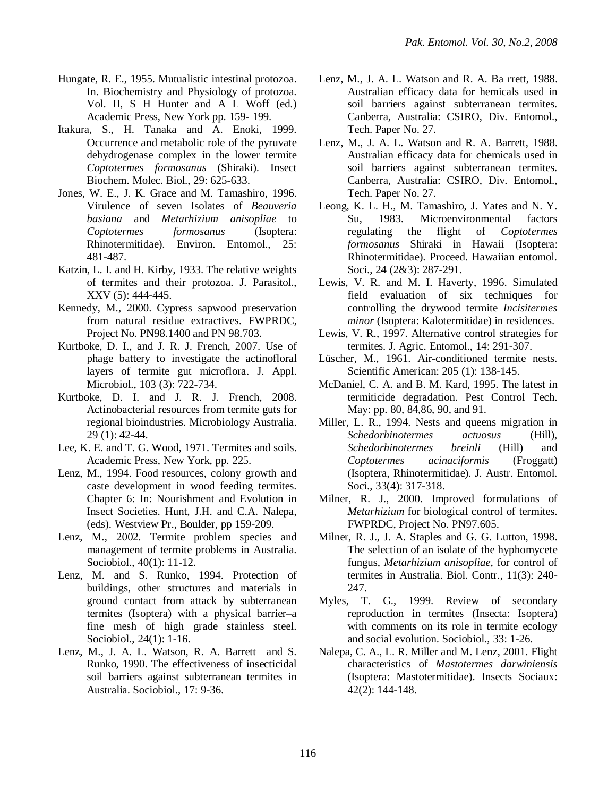- Hungate, R. E., 1955. Mutualistic intestinal protozoa. In. Biochemistry and Physiology of protozoa. Vol. II, S H Hunter and A L Woff (ed.) Academic Press, New York pp. 159- 199.
- Itakura, S., H. Tanaka and A. Enoki, 1999. Occurrence and metabolic role of the pyruvate dehydrogenase complex in the lower termite *Coptotermes formosanus* (Shiraki). Insect Biochem. Molec. Biol., 29: 625-633.
- Jones, W. E., J. K. Grace and M. Tamashiro, 1996. Virulence of seven Isolates of *Beauveria basiana* and *Metarhizium anisopliae* to *Coptotermes formosanus* (Isoptera: Rhinotermitidae). Environ. Entomol., 25: 481-487.
- Katzin, L. I. and H. Kirby, 1933. The relative weights of termites and their protozoa. J. Parasitol., XXV (5): 444-445.
- Kennedy, M., 2000. Cypress sapwood preservation from natural residue extractives. FWPRDC, Project No. PN98.1400 and PN 98.703.
- Kurtboke, D. I., and J. R. J. French, 2007. Use of phage battery to investigate the actinofloral layers of termite gut microflora. J. Appl. Microbiol., 103 (3): 722-734.
- Kurtboke, D. I. and J. R. J. French, 2008. Actinobacterial resources from termite guts for regional bioindustries. Microbiology Australia. 29 (1): 42-44.
- Lee, K. E. and T. G. Wood, 1971. Termites and soils. Academic Press, New York, pp. 225.
- Lenz, M., 1994. Food resources, colony growth and caste development in wood feeding termites. Chapter 6: In: Nourishment and Evolution in Insect Societies. Hunt, J.H. and C.A. Nalepa, (eds). Westview Pr., Boulder, pp 159-209.
- Lenz, M., 2002. Termite problem species and management of termite problems in Australia. Sociobiol., 40(1): 11-12.
- Lenz, M. and S. Runko, 1994. Protection of buildings, other structures and materials in ground contact from attack by subterranean termites (Isoptera) with a physical barrier–a fine mesh of high grade stainless steel. Sociobiol., 24(1): 1-16.
- Lenz, M., J. A. L. Watson, R. A. Barrett and S. Runko, 1990. The effectiveness of insecticidal soil barriers against subterranean termites in Australia. Sociobiol., 17: 9-36.
- Lenz, M., J. A. L. Watson and R. A. Ba rrett, 1988. Australian efficacy data for hemicals used in soil barriers against subterranean termites. Canberra, Australia: CSIRO, Div. Entomol., Tech. Paper No. 27.
- Lenz, M., J. A. L. Watson and R. A. Barrett, 1988. Australian efficacy data for chemicals used in soil barriers against subterranean termites. Canberra, Australia: CSIRO, Div. Entomol., Tech. Paper No. 27.
- Leong, K. L. H., M. Tamashiro, J. Yates and N. Y. Su, 1983. Microenvironmental factors regulating the flight of *Coptotermes formosanus* Shiraki in Hawaii (Isoptera: Rhinotermitidae). Proceed. Hawaiian entomol. Soci., 24 (2&3): 287-291.
- Lewis, V. R. and M. I. Haverty, 1996. Simulated field evaluation of six techniques for controlling the drywood termite *Incisitermes minor* (Isoptera: Kalotermitidae) in residences.
- Lewis, V. R., 1997. Alternative control strategies for termites. J. Agric. Entomol., 14: 291-307.
- Lüscher, M., 1961. Air-conditioned termite nests. Scientific American: 205 (1): 138-145.
- McDaniel, C. A. and B. M. Kard, 1995. The latest in termiticide degradation. Pest Control Tech. May: pp. 80, 84,86, 90, and 91.
- Miller, L. R., 1994. Nests and queens migration in *Schedorhinotermes actuosus* (Hill), *Schedorhinotermes breinli* (Hill) and *Coptotermes acinaciformis* (Froggatt) (Isoptera, Rhinotermitidae). J. Austr. Entomol. Soci., 33(4): 317-318.
- Milner, R. J., 2000. Improved formulations of *Metarhizium* for biological control of termites. FWPRDC, Project No. PN97.605.
- Milner, R. J., J. A. Staples and G. G. Lutton, 1998. The selection of an isolate of the hyphomycete fungus, *Metarhizium anisopliae*, for control of termites in Australia. Biol. Contr., 11(3): 240- 247.
- Myles, T. G., 1999. Review of secondary reproduction in termites (Insecta: Isoptera) with comments on its role in termite ecology and social evolution. Sociobiol., 33: 1-26.
- Nalepa, C. A., L. R. Miller and M. Lenz, 2001. Flight characteristics of *Mastotermes darwiniensis* (Isoptera: Mastotermitidae). Insects Sociaux: 42(2): 144-148.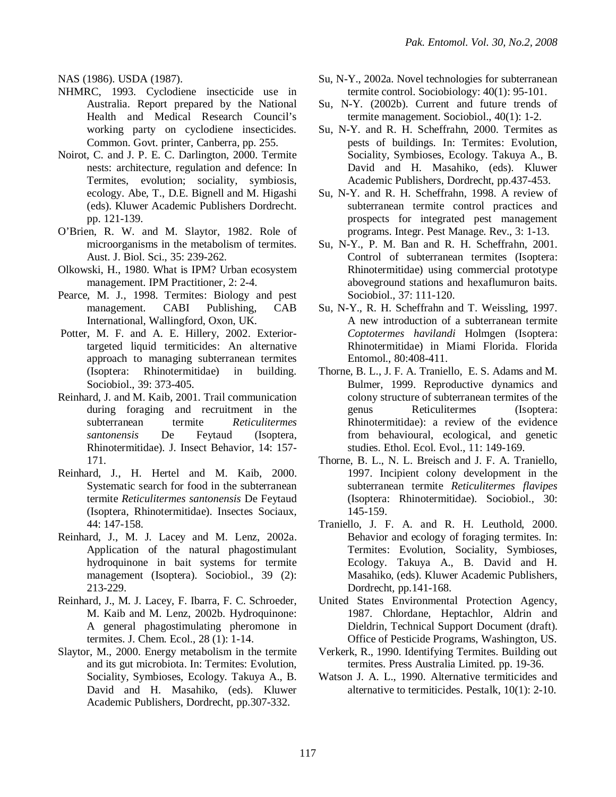NAS (1986). USDA (1987).

- NHMRC, 1993. Cyclodiene insecticide use in Australia. Report prepared by the National Health and Medical Research Council's working party on cyclodiene insecticides. Common. Govt. printer, Canberra, pp. 255.
- Noirot, C. and J. P. E. C. Darlington, 2000. Termite nests: architecture, regulation and defence: In Termites, evolution; sociality, symbiosis, ecology. Abe, T., D.E. Bignell and M. Higashi (eds). Kluwer Academic Publishers Dordrecht. pp. 121-139.
- O'Brien, R. W. and M. Slaytor, 1982. Role of microorganisms in the metabolism of termites. Aust. J. Biol. Sci., 35: 239-262.
- Olkowski, H., 1980. What is IPM? Urban ecosystem management. IPM Practitioner, 2: 2-4.
- Pearce, M. J., 1998. Termites: Biology and pest management. CABI Publishing, CAB International, Wallingford, Oxon, UK.
- Potter, M. F. and A. E. Hillery, 2002. Exteriortargeted liquid termiticides: An alternative approach to managing subterranean termites (Isoptera: Rhinotermitidae) in building. Sociobiol., 39: 373-405.
- Reinhard, J. and M. Kaib, 2001. Trail communication during foraging and recruitment in the subterranean termite *Reticulitermes santonensis* De Feytaud (Isoptera, Rhinotermitidae). J. Insect Behavior, 14: 157- 171.
- Reinhard, J., H. Hertel and M. Kaib, 2000. Systematic search for food in the subterranean termite *Reticulitermes santonensis* De Feytaud (Isoptera, Rhinotermitidae). Insectes Sociaux, 44: 147-158.
- Reinhard, J., M. J. Lacey and M. Lenz, 2002a. Application of the natural phagostimulant hydroquinone in bait systems for termite management (Isoptera). Sociobiol., 39 (2): 213-229.
- Reinhard, J., M. J. Lacey, F. Ibarra, F. C. Schroeder, M. Kaib and M. Lenz, 2002b. Hydroquinone: A general phagostimulating pheromone in termites. J. Chem. Ecol., 28 (1): 1-14.
- Slaytor, M., 2000. Energy metabolism in the termite and its gut microbiota. In: Termites: Evolution, Sociality, Symbioses, Ecology. Takuya A., B. David and H. Masahiko, (eds). Kluwer Academic Publishers, Dordrecht, pp.307-332.
- Su, N-Y., 2002a. Novel technologies for subterranean termite control. Sociobiology: 40(1): 95-101.
- Su, N-Y. (2002b). Current and future trends of termite management. Sociobiol., 40(1): 1-2.
- Su, N-Y. and R. H. Scheffrahn, 2000. Termites as pests of buildings. In: Termites: Evolution, Sociality, Symbioses, Ecology. Takuya A., B. David and H. Masahiko, (eds). Kluwer Academic Publishers, Dordrecht, pp.437-453.
- Su, N-Y. and R. H. Scheffrahn, 1998. A review of subterranean termite control practices and prospects for integrated pest management programs. Integr. Pest Manage. Rev., 3: 1-13.
- Su, N-Y., P. M. Ban and R. H. Scheffrahn, 2001. Control of subterranean termites (Isoptera: Rhinotermitidae) using commercial prototype aboveground stations and hexaflumuron baits. Sociobiol., 37: 111-120.
- Su, N-Y., R. H. Scheffrahn and T. Weissling, 1997. A new introduction of a subterranean termite *Coptotermes havilandi* Holmgen (Isoptera: Rhinotermitidae) in Miami Florida. Florida Entomol., 80:408-411.
- Thorne, B. L., J. F. A. Traniello, E. S. Adams and M. Bulmer, 1999. Reproductive dynamics and colony structure of subterranean termites of the genus Reticulitermes (Isoptera: Rhinotermitidae): a review of the evidence from behavioural, ecological, and genetic studies. Ethol. Ecol. Evol., 11: 149-169.
- Thorne, B. L., N. L. Breisch and J. F. A. Traniello, 1997. Incipient colony development in the subterranean termite *Reticulitermes flavipes* (Isoptera: Rhinotermitidae). Sociobiol., 30: 145-159.
- Traniello, J. F. A. and R. H. Leuthold, 2000. Behavior and ecology of foraging termites. In: Termites: Evolution, Sociality, Symbioses, Ecology. Takuya A., B. David and H. Masahiko, (eds). Kluwer Academic Publishers, Dordrecht, pp.141-168.
- United States Environmental Protection Agency, 1987. Chlordane, Heptachlor, Aldrin and Dieldrin, Technical Support Document (draft). Office of Pesticide Programs, Washington, US.
- Verkerk, R., 1990. Identifying Termites. Building out termites. Press Australia Limited. pp. 19-36.
- Watson J. A. L., 1990. Alternative termiticides and alternative to termiticides. Pestalk, 10(1): 2-10.